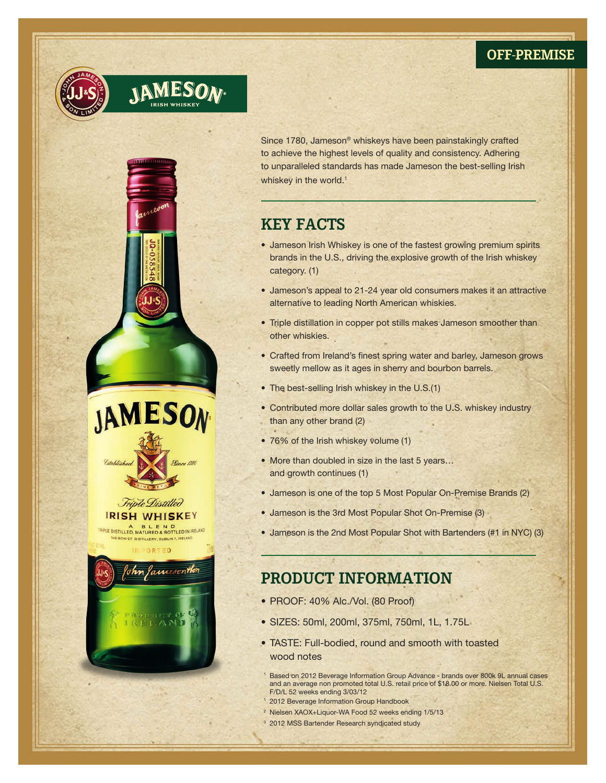### **OFF-PREMISE**





Since 1780, Jameson® whiskeys have been painstakingly crafted to achieve the highest levels of quality and consistency. Adhering to unparalleled standards has made Jameson the best-selling Irish whiskey in the world.<sup>1</sup>

# **KEY FACTS**

- Jameson Irish Whiskey is one of the fastest growing premium spirits brands in the U.S., driving the explosive growth of the Irish whiskey category. (1)
- Jameson's appeal to 21-24 year old consumers makes it an attractive alternative to leading North American whiskies.
- Triple distillation in copper pot stills makes Jameson smoother than other whiskies.
- Crafted from Ireland's finest spring water and barley, Jameson grows sweetly mellow as it ages in sherry and bourbon barrels.
- The best-selling Irish whiskey in the U.S.(1)
- Contributed more dollar sales growth to the U.S. whiskey industry than any other brand (2)
- 76% of the Irish whiskey volume (1)
- More than doubled in size in the last 5 years... and growth continues (1)
- Jameson is one of the top 5 Most Popular On-Premise Brands (2)
- Jameson is the 3rd Most Popular Shot On-Premise (3)
- Jameson is the 2nd Most Popular Shot with Bartenders (#1 in NYC) (3)

# **PRODUCT INFORMATION**

- PROOF: 40% Alc./Vol. (80 Proof)
- • SIZES: 50ml, 200ml, 375ml, 750ml, 1L, 1.75L
- TASTE: Full-bodied, round and smooth with toasted wood notes
- <sup>1</sup> Based on 2012 Beverage Information Group Advance brands over 800k 9L annual cases and an average non promoted total U.S. retail price of \$18.00 or more. Nielsen Total U.S. F/D/L 52 weeks ending 3/03/12
- 2012 Beverage Information Group Handbook
- 2 Nielsen XAOX+Liquor-WA Food 52 weeks ending 1/5/13
- <sup>3</sup> 2012 MSS Bartender Research syndicated study